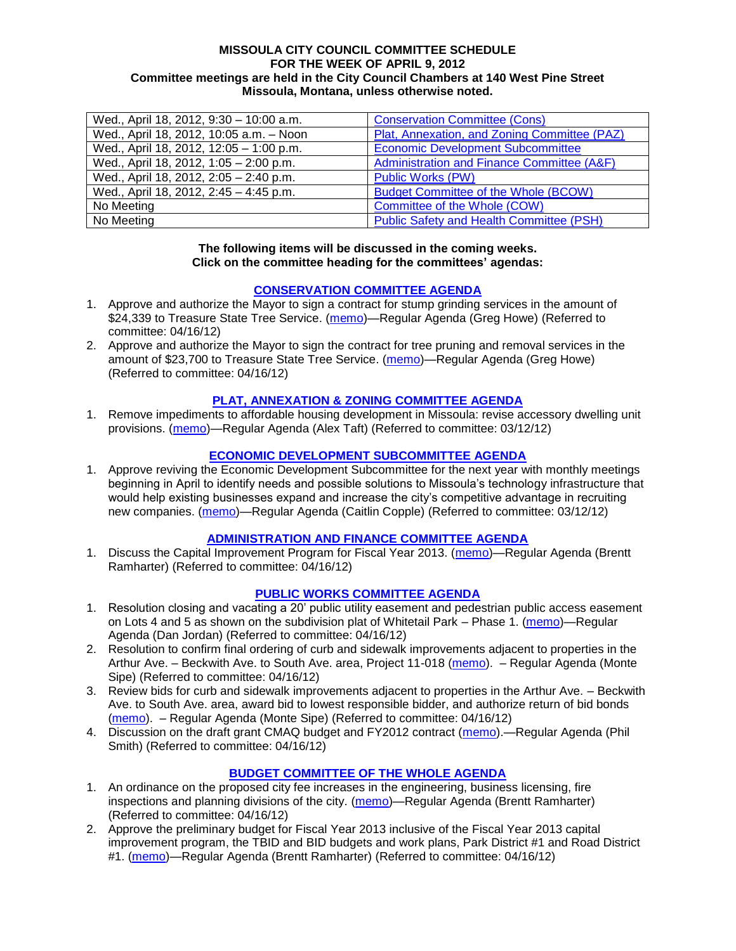#### **MISSOULA CITY COUNCIL COMMITTEE SCHEDULE FOR THE WEEK OF APRIL 9, 2012 Committee meetings are held in the City Council Chambers at 140 West Pine Street Missoula, Montana, unless otherwise noted.**

| Wed., April 18, 2012, 9:30 - 10:00 a.m. | <b>Conservation Committee (Cons)</b>            |
|-----------------------------------------|-------------------------------------------------|
| Wed., April 18, 2012, 10:05 a.m. - Noon | Plat, Annexation, and Zoning Committee (PAZ)    |
| Wed., April 18, 2012, 12:05 - 1:00 p.m. | <b>Economic Development Subcommittee</b>        |
| Wed., April 18, 2012, 1:05 - 2:00 p.m.  | Administration and Finance Committee (A&F)      |
| Wed., April 18, 2012, 2:05 - 2:40 p.m.  | <b>Public Works (PW)</b>                        |
| Wed., April 18, 2012, 2:45 - 4:45 p.m.  | <b>Budget Committee of the Whole (BCOW)</b>     |
| No Meeting                              | Committee of the Whole (COW)                    |
| No Meeting                              | <b>Public Safety and Health Committee (PSH)</b> |

#### **The following items will be discussed in the coming weeks. Click on the committee heading for the committees' agendas:**

## **[CONSERVATION COMMITTEE AGENDA](http://www.ci.missoula.mt.us/DocumentCenterii.aspx?FID=832)**

- 1. Approve and authorize the Mayor to sign a contract for stump grinding services in the amount of \$24,339 to Treasure State Tree Service. [\(memo\)](http://www.ci.missoula.mt.us/DocumentCenter/Home/View/18844)—Regular Agenda (Greg Howe) (Referred to committee: 04/16/12)
- 2. Approve and authorize the Mayor to sign the contract for tree pruning and removal services in the amount of \$23,700 to Treasure State Tree Service. [\(memo\)](http://www.ci.missoula.mt.us/DocumentCenter/Home/View/18843)—Regular Agenda (Greg Howe) (Referred to committee: 04/16/12)

## **[PLAT, ANNEXATION & ZONING COMMITTEE AGENDA](http://www.ci.missoula.mt.us/DocumentCenterii.aspx?FID=831)**

1. Remove impediments to affordable housing development in Missoula: revise accessory dwelling unit provisions. [\(memo\)](http://www.ci.missoula.mt.us/DocumentView.aspx?DID=8421)—Regular Agenda (Alex Taft) (Referred to committee: 03/12/12)

## **[ECONOMIC DEVELOPMENT SUBCOMMITTEE AGENDA](http://www.ci.missoula.mt.us/DocumentCenterii.aspx?FID=846)**

1. Approve reviving the Economic Development Subcommittee for the next year with monthly meetings beginning in April to identify needs and possible solutions to Missoula's technology infrastructure that would help existing businesses expand and increase the city's competitive advantage in recruiting new companies. [\(memo\)](http://www.ci.missoula.mt.us/DocumentView.aspx?DID=8435)—Regular Agenda (Caitlin Copple) (Referred to committee: 03/12/12)

#### **[ADMINISTRATION AND FINANCE COMMITTEE AGENDA](http://www.ci.missoula.mt.us/DocumentCenterii.aspx?FID=830)**

1. Discuss the Capital Improvement Program for Fiscal Year 2013. [\(memo\)](http://www.ci.missoula.mt.us/DocumentCenter/Home/View/18840)—Regular Agenda (Brentt Ramharter) (Referred to committee: 04/16/12)

## **[PUBLIC WORKS COMMITTEE AGENDA](http://www.ci.missoula.mt.us/DocumentCenterii.aspx?FID=833)**

- 1. Resolution closing and vacating a 20' public utility easement and pedestrian public access easement on Lots 4 and 5 as shown on the subdivision plat of Whitetail Park – Phase 1. [\(memo\)](http://www.ci.missoula.mt.us/DocumentCenter/Home/View/18847)—Regular Agenda (Dan Jordan) (Referred to committee: 04/16/12)
- 2. Resolution to confirm final ordering of curb and sidewalk improvements adjacent to properties in the Arthur Ave. – Beckwith Ave. to South Ave. area, Project 11-018 [\(memo\)](http://www.ci.missoula.mt.us/DocumentCenter/Home/View/18849). – Regular Agenda (Monte Sipe) (Referred to committee: 04/16/12)
- 3. Review bids for curb and sidewalk improvements adjacent to properties in the Arthur Ave. Beckwith Ave. to South Ave. area, award bid to lowest responsible bidder, and authorize return of bid bonds [\(memo\)](http://www.ci.missoula.mt.us/DocumentCenter/Home/View/18848). – Regular Agenda (Monte Sipe) (Referred to committee: 04/16/12)
- 4. Discussion on the draft grant CMAQ budget and FY2012 contract [\(memo\)](http://www.ci.missoula.mt.us/DocumentCenter/Home/View/18845).—Regular Agenda (Phil Smith) (Referred to committee: 04/16/12)

## **[BUDGET COMMITTEE OF THE WHOLE AGENDA](http://www.ci.missoula.mt.us/DocumentCenterii.aspx?FID=835)**

- 1. An ordinance on the proposed city fee increases in the engineering, business licensing, fire inspections and planning divisions of the city. [\(memo\)](http://www.ci.missoula.mt.us/DocumentCenter/Home/View/18841)—Regular Agenda (Brentt Ramharter) (Referred to committee: 04/16/12)
- 2. Approve the preliminary budget for Fiscal Year 2013 inclusive of the Fiscal Year 2013 capital improvement program, the TBID and BID budgets and work plans, Park District #1 and Road District #1. [\(memo\)](http://www.ci.missoula.mt.us/DocumentCenter/Home/View/18842)—Regular Agenda (Brentt Ramharter) (Referred to committee: 04/16/12)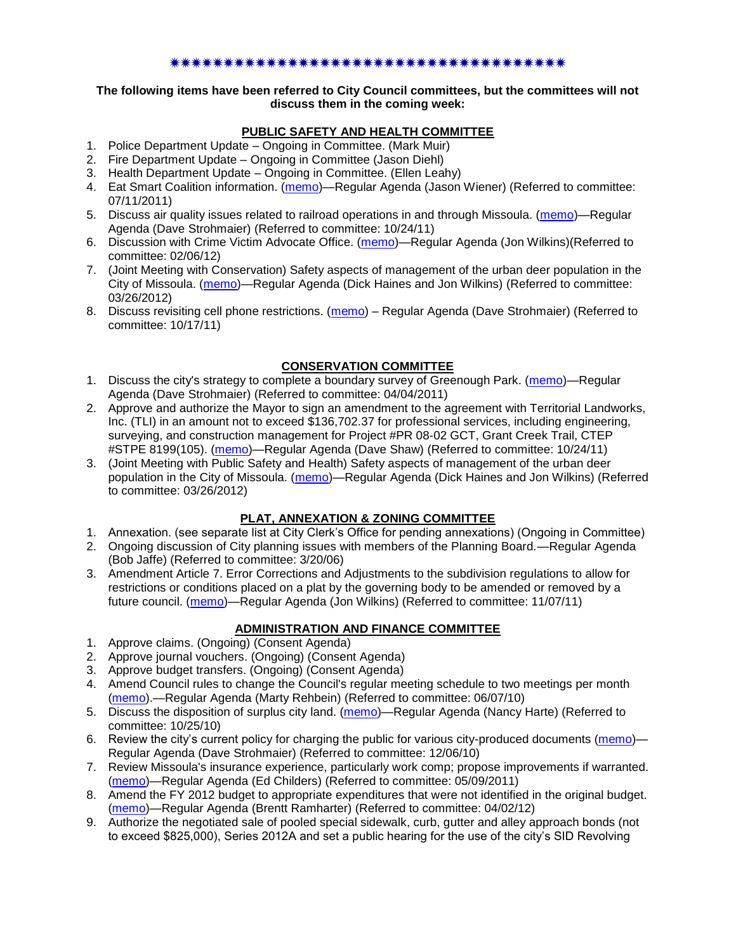### \*\*\*\*\*\*\*\*\*\*\*\*\*\*\*\*\*\*\*\*\*\*\*\*\*\*

#### **The following items have been referred to City Council committees, but the committees will not discuss them in the coming week:**

# **PUBLIC SAFETY AND HEALTH COMMITTEE**

- 1. Police Department Update Ongoing in Committee. (Mark Muir)
- 2. Fire Department Update Ongoing in Committee (Jason Diehl)
- 3. Health Department Update Ongoing in Committee. (Ellen Leahy)
- 4. Eat Smart Coalition information. [\(memo\)](http://www.ci.missoula.mt.us/DocumentView.aspx?DID=6776)—Regular Agenda (Jason Wiener) (Referred to committee: 07/11/2011)
- 5. Discuss air quality issues related to railroad operations in and through Missoula. [\(memo\)](http://www.ci.missoula.mt.us/DocumentView.aspx?DID=7495)—Regular Agenda (Dave Strohmaier) (Referred to committee: 10/24/11)
- 6. Discussion with Crime Victim Advocate Office. [\(memo\)](http://www.ci.missoula.mt.us/DocumentView.aspx?DID=8109)—Regular Agenda (Jon Wilkins)(Referred to committee: 02/06/12)
- 7. (Joint Meeting with Conservation) Safety aspects of management of the urban deer population in the City of Missoula. [\(memo\)](http://www.ci.missoula.mt.us/DocumentView.aspx?DID=8528)—Regular Agenda (Dick Haines and Jon Wilkins) (Referred to committee: 03/26/2012)
- 8. Discuss revisiting cell phone restrictions. [\(memo\)](http://www.ci.missoula.mt.us/DocumentView.aspx?DID=7420) Regular Agenda (Dave Strohmaier) (Referred to committee: 10/17/11)

## **CONSERVATION COMMITTEE**

- 1. Discuss the city's strategy to complete a boundary survey of Greenough Park. [\(memo\)](http://www.ci.missoula.mt.us/DocumentView.aspx?DID=5875)—Regular Agenda (Dave Strohmaier) (Referred to committee: 04/04/2011)
- 2. Approve and authorize the Mayor to sign an amendment to the agreement with Territorial Landworks, Inc. (TLI) in an amount not to exceed \$136,702.37 for professional services, including engineering, surveying, and construction management for Project #PR 08-02 GCT, Grant Creek Trail, CTEP #STPE 8199(105). [\(memo\)](http://www.ci.missoula.mt.us/DocumentView.aspx?DID=7494)—Regular Agenda (Dave Shaw) (Referred to committee: 10/24/11)
- 3. (Joint Meeting with Public Safety and Health) Safety aspects of management of the urban deer population in the City of Missoula. [\(memo\)](http://www.ci.missoula.mt.us/DocumentView.aspx?DID=8528)—Regular Agenda (Dick Haines and Jon Wilkins) (Referred to committee: 03/26/2012)

## **PLAT, ANNEXATION & ZONING COMMITTEE**

- 1. Annexation. (see separate list at City Clerk's Office for pending annexations) (Ongoing in Committee)
- 2. Ongoing discussion of City planning issues with members of the Planning Board.—Regular Agenda (Bob Jaffe) (Referred to committee: 3/20/06)
- 3. Amendment Article 7. Error Corrections and Adjustments to the subdivision regulations to allow for restrictions or conditions placed on a plat by the governing body to be amended or removed by a future council. [\(memo\)](http://www.ci.missoula.mt.us/DocumentView.aspx?DID=7568)—Regular Agenda (Jon Wilkins) (Referred to committee: 11/07/11)

## **ADMINISTRATION AND FINANCE COMMITTEE**

- 1. Approve claims. (Ongoing) (Consent Agenda)
- 2. Approve journal vouchers. (Ongoing) (Consent Agenda)
- 3. Approve budget transfers. (Ongoing) (Consent Agenda)
- 4. Amend Council rules to change the Council's regular meeting schedule to two meetings per month [\(memo\)](http://www.ci.missoula.mt.us/DocumentView.aspx?DID=4027).—Regular Agenda (Marty Rehbein) (Referred to committee: 06/07/10)
- 5. Discuss the disposition of surplus city land. [\(memo\)](http://www.ci.missoula.mt.us/DocumentView.aspx?DID=4862)—Regular Agenda (Nancy Harte) (Referred to committee: 10/25/10)
- 6. Review the city's current policy for charging the public for various city-produced documents [\(memo\)](http://www.ci.missoula.mt.us/DocumentView.aspx?DID=5143)-Regular Agenda (Dave Strohmaier) (Referred to committee: 12/06/10)
- 7. Review Missoula's insurance experience, particularly work comp; propose improvements if warranted. [\(memo\)](http://www.ci.missoula.mt.us/DocumentView.aspx?DID=6381)—Regular Agenda (Ed Childers) (Referred to committee: 05/09/2011)
- 8. Amend the FY 2012 budget to appropriate expenditures that were not identified in the original budget. [\(memo\)](http://www.ci.missoula.mt.us/DocumentView.aspx?DID=8601)—Regular Agenda (Brentt Ramharter) (Referred to committee: 04/02/12)
- 9. Authorize the negotiated sale of pooled special sidewalk, curb, gutter and alley approach bonds (not to exceed \$825,000), Series 2012A and set a public hearing for the use of the city's SID Revolving